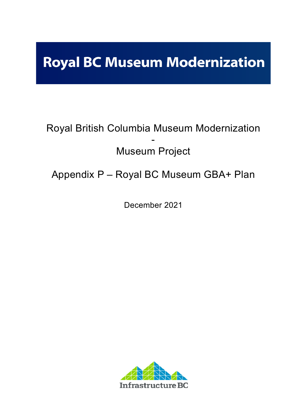# **Royal BC Museum Modernization**

## Royal British Columbia Museum Modernization - Museum Project

### Appendix P – Royal BC Museum GBA+ Plan

December 2021

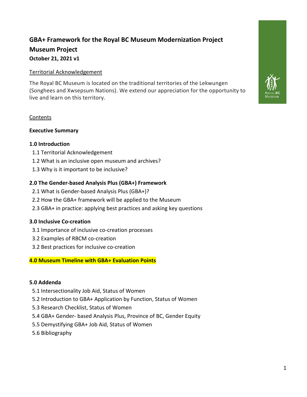### **GBA+ Framework for the Royal BC Museum Modernization Project Museum Project October 21, 2021 v1**

#### Territorial Acknowledgement

The Royal BC Museum is located on the traditional territories of the Lekwungen (Songhees and Xwsepsum Nations). We extend our appreciation for the opportunity to live and learn on this territory.

#### **Contents**

#### **Executive Summary**

#### **1.0 Introduction**

- 1.1 Territorial Acknowledgement
- 1.2 What is an inclusive open museum and archives?
- 1.3 Why is it important to be inclusive?

#### **2.0 The Gender-based Analysis Plus (GBA+) Framework**

- 2.1 What is Gender-based Analysis Plus (GBA+)?
- 2.2 How the GBA+ framework will be applied to the Museum
- 2.3 GBA+ in practice: applying best practices and asking key questions

#### **3.0 Inclusive Co-creation**

- 3.1 Importance of inclusive co-creation processes
- 3.2 Examples of RBCM co-creation
- 3.2 Best practices for inclusive co-creation

#### **4.0 Museum Timeline with GBA+ Evaluation Points**

#### **5.0 Addenda**

- 5.1 Intersectionality Job Aid, Status of Women
- 5.2 Introduction to GBA+ Application by Function, Status of Women
- 5.3 Research Checklist, Status of Women
- 5.4 GBA+ Gender- based Analysis Plus, Province of BC, Gender Equity
- 5.5 Demystifying GBA+ Job Aid, Status of Women
- 5.6 Bibliography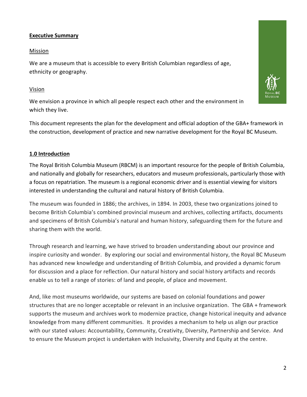#### **Executive Summary**

#### Mission

We are a museum that is accessible to every British Columbian regardless of age, ethnicity or geography.

#### Vision

We envision a province in which all people respect each other and the environment in which they live.

This document represents the plan for the development and official adoption of the GBA+ framework in the construction, development of practice and new narrative development for the Royal BC Museum.

#### **1.0 Introduction**

The Royal British Columbia Museum (RBCM) is an important resource for the people of British Columbia, and nationally and globally for researchers, educators and museum professionals, particularly those with a focus on repatriation. The museum is a regional economic driver and is essential viewing for visitors interested in understanding the cultural and natural history of British Columbia.

The museum was founded in 1886; the archives, in 1894. In 2003, these two organizations joined to become British Columbia's combined provincial museum and archives, collecting artifacts, documents and specimens of British Columbia's natural and human history, safeguarding them for the future and sharing them with the world.

Through research and learning, we have strived to broaden understanding about our province and inspire curiosity and wonder. By exploring our social and environmental history, the Royal BC Museum has advanced new knowledge and understanding of British Columbia, and provided a dynamic forum for discussion and a place for reflection. Our natural history and social history artifacts and records enable us to tell a range of stories: of land and people, of place and movement.

And, like most museums worldwide, our systems are based on colonial foundations and power structures that are no longer acceptable or relevant in an inclusive organization. The GBA + framework supports the museum and archives work to modernize practice, change historical inequity and advance knowledge from many different communities. It provides a mechanism to help us align our practice with our stated values: Accountability, Community, Creativity, Diversity, Partnership and Service. And to ensure the Museum project is undertaken with Inclusivity, Diversity and Equity at the centre.

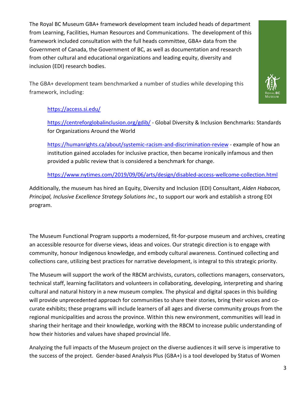The Royal BC Museum GBA+ framework development team included heads of department from Learning, Facilities, Human Resources and Communications. The development of this framework included consultation with the full heads committee, GBA+ data from the Government of Canada, the Government of BC, as well as documentation and research from other cultural and educational organizations and leading equity, diversity and inclusion (EDI) research bodies.

The GBA+ development team benchmarked a number of studies while developing this framework, including:



#### https://access.si.edu/

https://centreforglobalinclusion.org/gdib/ - Global Diversity & Inclusion Benchmarks: Standards for Organizations Around the World

https://humanrights.ca/about/systemic-racism-and-discrimination-review - example of how an institution gained accolades for inclusive practice, then became ironically infamous and then provided a public review that is considered a benchmark for change.

https://www.nytimes.com/2019/09/06/arts/design/disabled-access-wellcome-collection.html

Additionally, the museum has hired an Equity, Diversity and Inclusion (EDI) Consultant, *Alden Habacon, Principal, Inclusive Excellence Strategy Solutions Inc*., to support our work and establish a strong EDI program.

The Museum Functional Program supports a modernized, fit-for-purpose museum and archives, creating an accessible resource for diverse views, ideas and voices. Our strategic direction is to engage with community, honour Indigenous knowledge, and embody cultural awareness. Continued collecting and collections care, utilizing best practices for narrative development, is integral to this strategic priority.

The Museum will support the work of the RBCM archivists, curators, collections managers, conservators, technical staff, learning facilitators and volunteers in collaborating, developing, interpreting and sharing cultural and natural history in a new museum complex. The physical and digital spaces in this building will provide unprecedented approach for communities to share their stories, bring their voices and cocurate exhibits; these programs will include learners of all ages and diverse community groups from the regional municipalities and across the province. Within this new environment, communities will lead in sharing their heritage and their knowledge, working with the RBCM to increase public understanding of how their histories and values have shaped provincial life.

Analyzing the full impacts of the Museum project on the diverse audiences it will serve is imperative to the success of the project. Gender-based Analysis Plus (GBA+) is a tool developed by Status of Women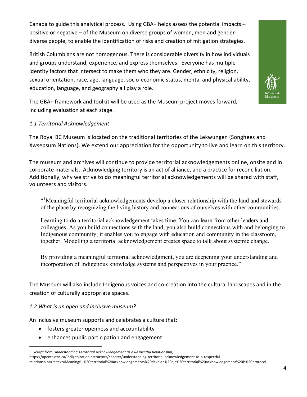Canada to guide this analytical process. Using GBA+ helps assess the potential impacts – positive or negative – of the Museum on diverse groups of women, men and genderdiverse people, to enable the identification of risks and creation of mitigation strategies.

British Columbians are not homogenous. There is considerable diversity in how individuals and groups understand, experience, and express themselves. Everyone has multiple identity factors that intersect to make them who they are. Gender, ethnicity, religion, sexual orientation, race, age, language, socio-economic status, mental and physical ability, education, language, and geography all play a role.



The GBA+ framework and toolkit will be used as the Museum project moves forward, including evaluation at each stage.

#### *1.1 Territorial Acknowledgement*

The Royal BC Museum is located on the traditional territories of the Lekwungen (Songhees and Xwsepsum Nations). We extend our appreciation for the opportunity to live and learn on this territory.

The museum and archives will continue to provide territorial acknowledgements online, onsite and in corporate materials. Acknowledging territory is an act of alliance, and a practice for reconciliation. Additionally, why we strive to do meaningful territorial acknowledgements will be shared with staff, volunteers and visitors.

"<sup>1</sup>Meaningful territorial acknowledgements develop a closer relationship with the land and stewards of the place by recognizing the living history and connections of ourselves with other communities.

Learning to do a territorial acknowledgement takes time. You can learn from other leaders and colleagues. As you build connections with the land, you also build connections with and belonging to Indigenous community; it enables you to engage with education and community in the classroom, together. Modelling a territorial acknowledgement creates space to talk about systemic change.

By providing a meaningful territorial acknowledgment, you are deepening your understanding and incorporation of Indigenous knowledge systems and perspectives in your practice."

The Museum will also include Indigenous voices and co-creation into the cultural landscapes and in the creation of culturally appropriate spaces.

#### *1.2 What is an open and inclusive museum?*

An inclusive museum supports and celebrates a culture that:

- fosters greater openness and accountability
- enhances public participation and engagement

relationship/#:~:text=Meaningful%20territorial%20acknowledgements%20develop%20a,a%20territorial%20acknowledgement%20is%20protocol.

<sup>1</sup> Excerpt from *Understanding Territorial Acknowledgement as a Respectful Relationship*,

https://opentextbc.ca/indigenizationinstructors/chapter/understanding-territorial-acknowledgement-as-a-respectful-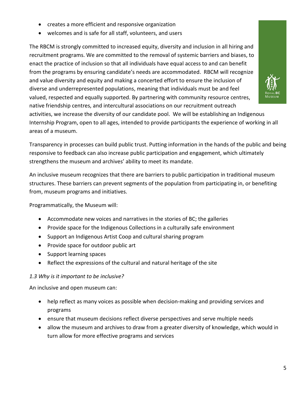- creates a more efficient and responsive organization
- welcomes and is safe for all staff, volunteers, and users

The RBCM is strongly committed to increased equity, diversity and inclusion in all hiring and recruitment programs. We are committed to the removal of systemic barriers and biases, to enact the practice of inclusion so that all individuals have equal access to and can benefit from the programs by ensuring candidate's needs are accommodated. RBCM will recognize and value diversity and equity and making a concerted effort to ensure the inclusion of diverse and underrepresented populations, meaning that individuals must be and feel valued, respected and equally supported. By partnering with community resource centres, native friendship centres, and intercultural associations on our recruitment outreach activities, we increase the diversity of our candidate pool. We will be establishing an Indigenous Internship Program, open to all ages, intended to provide participants the experience of working in all areas of a museum.

Transparency in processes can build public trust. Putting information in the hands of the public and being responsive to feedback can also increase public participation and engagement, which ultimately strengthens the museum and archives' ability to meet its mandate.

An inclusive museum recognizes that there are barriers to public participation in traditional museum structures. These barriers can prevent segments of the population from participating in, or benefiting from, museum programs and initiatives.

Programmatically, the Museum will:

- Accommodate new voices and narratives in the stories of BC; the galleries
- Provide space for the Indigenous Collections in a culturally safe environment
- Support an Indigenous Artist Coop and cultural sharing program
- Provide space for outdoor public art
- Support learning spaces
- Reflect the expressions of the cultural and natural heritage of the site

#### *1.3 Why is it important to be inclusive?*

An inclusive and open museum can:

- help reflect as many voices as possible when decision-making and providing services and programs
- ensure that museum decisions reflect diverse perspectives and serve multiple needs
- allow the museum and archives to draw from a greater diversity of knowledge, which would in turn allow for more effective programs and services

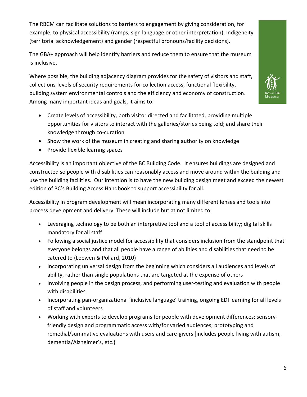The RBCM can facilitate solutions to barriers to engagement by giving consideration, for example, to physical accessibility (ramps, sign language or other interpretation), Indigeneity (territorial acknowledgement) and gender (respectful pronouns/facility decisions).

The GBA+ approach will help identify barriers and reduce them to ensure that the museum is inclusive.

Where possible, the building adjacency diagram provides for the safety of visitors and staff, collections, levels of security requirements for collection access, functional flexibility, building system environmental controls and the efficiency and economy of construction. Among many important ideas and goals, it aims to:



- Create levels of accessibility, both visitor directed and facilitated, providing multiple opportunities for visitors to interact with the galleries/stories being told; and share their knowledge through co-curation
- Show the work of the museum in creating and sharing authority on knowledge
- Provide flexible learnng spaces

Accessibility is an important objective of the BC Building Code. It ensures buildings are designed and constructed so people with disabilities can reasonably access and move around within the building and use the building facilities. Our intention is to have the new building design meet and exceed the newest edition of BC's Building Access Handbook to support accessibility for all.

Accessibility in program development will mean incorporating many different lenses and tools into process development and delivery. These will include but at not limited to:

- Leveraging technology to be both an interpretive tool and a tool of accessibility; digital skills mandatory for all staff
- Following a social justice model for accessibility that considers inclusion from the standpoint that everyone belongs and that all people have a range of abilities and disabilities that need to be catered to (Loewen & Pollard, 2010)
- Incorporating universal design from the beginning which considers all audiences and levels of ability, rather than single populations that are targeted at the expense of others
- Involving people in the design process, and performing user-testing and evaluation with people with disabilities
- Incorporating pan-organizational 'inclusive language' training, ongoing EDI learning for all levels of staff and volunteers
- Working with experts to develop programs for people with development differences: sensoryfriendly design and programmatic access with/for varied audiences; prototyping and remedial/summative evaluations with users and care-givers [includes people living with autism, dementia/Alzheimer's, etc.)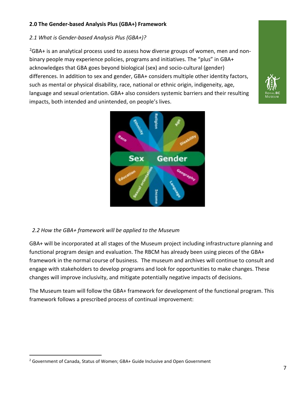#### **2.0 The Gender-based Analysis Plus (GBA+) Framework**

#### *2.1 What is Gender-based Analysis Plus (GBA+)?*

 $^{2}$ GBA+ is an analytical process used to assess how diverse groups of women, men and nonbinary people may experience policies, programs and initiatives. The "plus" in GBA+ acknowledges that GBA goes beyond biological (sex) and socio-cultural (gender) differences. In addition to sex and gender, GBA+ considers multiple other identity factors, such as mental or physical disability, race, national or ethnic origin, indigeneity, age, language and sexual orientation. GBA+ also considers systemic barriers and their resulting impacts, both intended and unintended, on people's lives.



#### *2.2 How the GBA+ framework will be applied to the Museum*

GBA+ will be incorporated at all stages of the Museum project including infrastructure planning and functional program design and evaluation. The RBCM has already been using pieces of the GBA+ framework in the normal course of business. The museum and archives will continue to consult and engage with stakeholders to develop programs and look for opportunities to make changes. These changes will improve inclusivity, and mitigate potentially negative impacts of decisions.

The Museum team will follow the GBA+ framework for development of the functional program. This framework follows a prescribed process of continual improvement:

<sup>&</sup>lt;sup>2</sup> Government of Canada, Status of Women; GBA+ Guide Inclusive and Open Government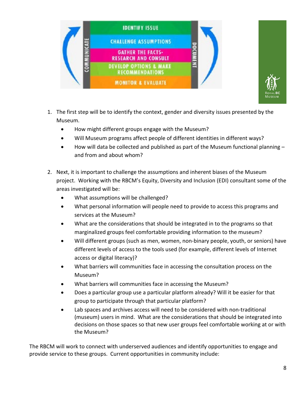



- 1. The first step will be to identify the context, gender and diversity issues presented by the Museum.
	- How might different groups engage with the Museum?
	- Will Museum programs affect people of different identities in different ways?
	- $\bullet$  How will data be collected and published as part of the Museum functional planning  $$ and from and about whom?
- 2. Next, it is important to challenge the assumptions and inherent biases of the Museum project. Working with the RBCM's Equity, Diversity and Inclusion (EDI) consultant some of the areas investigated will be:
	- What assumptions will be challenged?
	- What personal information will people need to provide to access this programs and services at the Museum?
	- What are the considerations that should be integrated in to the programs so that marginalized groups feel comfortable providing information to the museum?
	- Will different groups (such as men, women, non-binary people, youth, or seniors) have different levels of access to the tools used (for example, different levels of Internet access or digital literacy)?
	- What barriers will communities face in accessing the consultation process on the Museum?
	- What barriers will communities face in accessing the Museum?
	- Does a particular group use a particular platform already? Will it be easier for that group to participate through that particular platform?
	- Lab spaces and archives access will need to be considered with non-traditional (museum) users in mind. What are the considerations that should be integrated into decisions on those spaces so that new user groups feel comfortable working at or with the Museum?

The RBCM will work to connect with underserved audiences and identify opportunities to engage and provide service to these groups. Current opportunities in community include: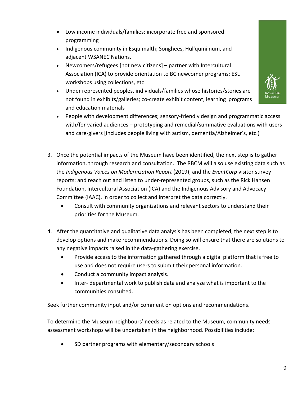- Low income individuals/families; incorporate free and sponsored programming
- Indigenous community in Esquimalth; Songhees, Hul'qumi'num, and adjacent WSANEC Nations.
- Newcomers/refugees [not new citizens] partner with Intercultural Association (ICA) to provide orientation to BC newcomer programs; ESL workshops using collections, etc
- Under represented peoples, individuals/families whose histories/stories are not found in exhibits/galleries; co-create exhibit content, learning programs and education materials



- People with development differences; sensory-friendly design and programmatic access with/for varied audiences – prototyping and remedial/summative evaluations with users and care-givers [includes people living with autism, dementia/Alzheimer's, etc.)
- 3. Once the potential impacts of the Museum have been identified, the next step is to gather information, through research and consultation. The RBCM will also use existing data such as the *Indigenous Voices on Modernization Report* (2019), and the *EventCorp* visitor survey reports; and reach out and listen to under-represented groups, such as the Rick Hansen Foundation, Intercultural Association (ICA) and the Indigenous Advisory and Advocacy Committee (IAAC), in order to collect and interpret the data correctly.
	- Consult with community organizations and relevant sectors to understand their priorities for the Museum.
- 4. After the quantitative and qualitative data analysis has been completed, the next step is to develop options and make recommendations. Doing so will ensure that there are solutions to any negative impacts raised in the data-gathering exercise.
	- Provide access to the information gathered through a digital platform that is free to use and does not require users to submit their personal information.
	- Conduct a community impact analysis.
	- Inter- departmental work to publish data and analyze what is important to the communities consulted.

Seek further community input and/or comment on options and recommendations.

To determine the Museum neighbours' needs as related to the Museum, community needs assessment workshops will be undertaken in the neighborhood. Possibilities include:

• SD partner programs with elementary/secondary schools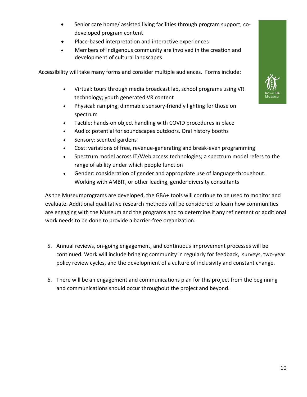- Senior care home/ assisted living facilities through program support; codeveloped program content
- Place-based interpretation and interactive experiences
- Members of Indigenous community are involved in the creation and development of cultural landscapes

Accessibility will take many forms and consider multiple audiences. Forms include:

- Virtual: tours through media broadcast lab, school programs using VR technology; youth generated VR content
- Physical: ramping, dimmable sensory-friendly lighting for those on spectrum
- Tactile: hands-on object handling with COVID procedures in place
- Audio: potential for soundscapes outdoors. Oral history booths
- Sensory: scented gardens
- Cost: variations of free, revenue-generating and break-even programming
- Spectrum model across IT/Web access technologies; a spectrum model refers to the range of ability under which people function
- Gender: consideration of gender and appropriate use of language throughout. Working with AMBIT, or other leading, gender diversity consultants

As the Museumprograms are developed, the GBA+ tools will continue to be used to monitor and evaluate. Additional qualitative research methods will be considered to learn how communities are engaging with the Museum and the programs and to determine if any refinement or additional work needs to be done to provide a barrier-free organization.

- 5. Annual reviews, on-going engagement, and continuous improvement processes will be continued. Work will include bringing community in regularly for feedback, surveys, two-year policy review cycles, and the development of a culture of inclusivity and constant change.
- 6. There will be an engagement and communications plan for this project from the beginning and communications should occur throughout the project and beyond.

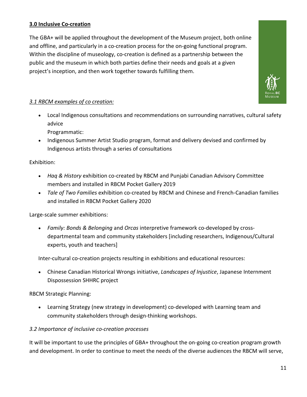#### **3.0 Inclusive Co-creation**

The GBA+ will be applied throughout the development of the Museum project, both online and offline, and particularly in a co-creation process for the on-going functional program. Within the discipline of museology, co-creation is defined as a partnership between the public and the museum in which both parties define their needs and goals at a given project's inception, and then work together towards fulfilling them.



#### *3.1 RBCM examples of co creation:*

- Local Indigenous consultations and recommendations on surrounding narratives, cultural safety advice
	- Programmatic:
- Indigenous Summer Artist Studio program, format and delivery devised and confirmed by Indigenous artists through a series of consultations

#### Exhibition:

- *Haq & History* exhibition co-created by RBCM and Punjabi Canadian Advisory Committee members and installed in RBCM Pocket Gallery 2019
- *Tale of Two Families* exhibition co-created by RBCM and Chinese and French-Canadian families and installed in RBCM Pocket Gallery 2020

Large-scale summer exhibitions:

• *Family: Bonds & Belonging* and *Orcas* interpretive framework co-developed by crossdepartmental team and community stakeholders [including researchers, Indigenous/Cultural experts, youth and teachers]

Inter-cultural co-creation projects resulting in exhibitions and educational resources:

• Chinese Canadian Historical Wrongs initiative, *Landscapes of Injustice*, Japanese Internment Dispossession SHHRC project

#### RBCM Strategic Planning:

• Learning Strategy (new strategy in development) co-developed with Learning team and community stakeholders through design-thinking workshops.

#### *3.2 Importance of inclusive co-creation processes*

It will be important to use the principles of GBA+ throughout the on-going co-creation program growth and development. In order to continue to meet the needs of the diverse audiences the RBCM will serve,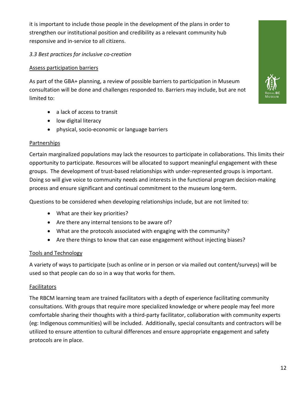it is important to include those people in the development of the plans in order to strengthen our institutional position and credibility as a relevant community hub responsive and in-service to all citizens.

#### *3.3 Best practices for inclusive co-creation*

#### Assess participation barriers

As part of the GBA+ planning, a review of possible barriers to participation in Museum consultation will be done and challenges responded to. Barriers may include, but are not limited to:

- a lack of access to transit
- low digital literacy
- physical, socio-economic or language barriers

#### Partnerships

Certain marginalized populations may lack the resources to participate in collaborations. This limits their opportunity to participate. Resources will be allocated to support meaningful engagement with these groups. The development of trust-based relationships with under-represented groups is important. Doing so will give voice to community needs and interests in the functional program decision-making process and ensure significant and continual commitment to the museum long-term.

Questions to be considered when developing relationships include, but are not limited to:

- What are their key priorities?
- Are there any internal tensions to be aware of?
- What are the protocols associated with engaging with the community?
- Are there things to know that can ease engagement without injecting biases?

#### Tools and Technology

A variety of ways to participate (such as online or in person or via mailed out content/surveys) will be used so that people can do so in a way that works for them.

#### **Facilitators**

The RBCM learning team are trained facilitators with a depth of experience facilitating community consultations. With groups that require more specialized knowledge or where people may feel more comfortable sharing their thoughts with a third-party facilitator, collaboration with community experts (eg: Indigenous communities) will be included. Additionally, special consultants and contractors will be utilized to ensure attention to cultural differences and ensure appropriate engagement and safety protocols are in place.

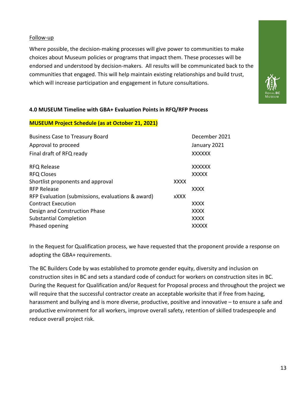Follow-up

Where possible, the decision-making processes will give power to communities to make choices about Museum policies or programs that impact them. These processes will be endorsed and understood by decision-makers. All results will be communicated back to the communities that engaged. This will help maintain existing relationships and build trust, which will increase participation and engagement in future consultations.



#### **MUSEUM Project Schedule (as at October 21, 2021)**

| December 2021 |
|---------------|
| January 2021  |
| <b>XXXXXX</b> |
| <b>XXXXXX</b> |
| <b>XXXXX</b>  |
|               |
| <b>XXXX</b>   |
|               |
| <b>XXXX</b>   |
| <b>XXXX</b>   |
| <b>XXXX</b>   |
| <b>XXXXX</b>  |
| <b>XXXX</b>   |

In the Request for Qualification process, we have requested that the proponent provide a response on adopting the GBA+ requirements.

The BC Builders Code by was established to promote gender equity, diversity and inclusion on construction sites in BC and sets a standard code of conduct for workers on construction sites in BC. During the Request for Qualification and/or Request for Proposal process and throughout the project we will require that the successful contractor create an acceptable worksite that if free from hazing, harassment and bullying and is more diverse, productive, positive and innovative - to ensure a safe and productive environment for all workers, improve overall safety, retention of skilled tradespeople and reduce overall project risk.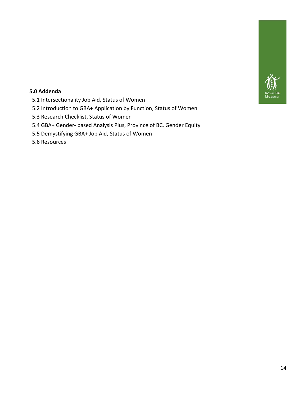

#### **5.0 Addenda**

- 5.1 Intersectionality Job Aid, Status of Women
- 5.2 Introduction to GBA+ Application by Function, Status of Women
- 5.3 Research Checklist, Status of Women
- 5.4 GBA+ Gender- based Analysis Plus, Province of BC, Gender Equity
- 5.5 Demystifying GBA+ Job Aid, Status of Women
- 5.6 Resources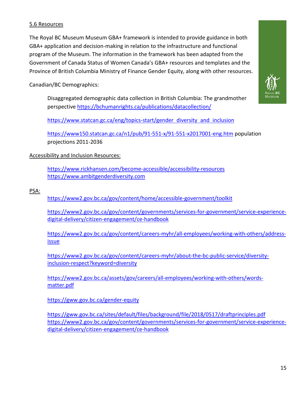#### 5.6 Resources

The Royal BC Museum Museum GBA+ framework is intended to provide guidance in both GBA+ application and decision-making in relation to the infrastructure and functional program of the Museum. The information in the framework has been adapted from the Government of Canada Status of Women Canada's GBA+ resources and templates and the Province of British Columbia Ministry of Finance Gender Equity, along with other resources.

Canadian/BC Demographics:

Disaggregated demographic data collection in British Columbia: The grandmother perspective https://bchumanrights.ca/publications/datacollection/

https://www.statcan.gc.ca/eng/topics-start/gender diversity and inclusion

https://www150.statcan.gc.ca/n1/pub/91-551-x/91-551-x2017001-eng.htm population projections 2011-2036

#### Accessibility and Inclusion Resources:

https://www.rickhansen.com/become-accessible/accessibility-resources https://www.ambitgenderdiversity.com

PSA:

https://www2.gov.bc.ca/gov/content/home/accessible-government/toolkit

https://www2.gov.bc.ca/gov/content/governments/services-for-government/service-experiencedigital-delivery/citizen-engagement/ce-handbook

https://www2.gov.bc.ca/gov/content/careers-myhr/all-employees/working-with-others/addressissue

https://www2.gov.bc.ca/gov/content/careers-myhr/about-the-bc-public-service/diversityinclusion-respect?keyword=diversity

https://www2.gov.bc.ca/assets/gov/careers/all-employees/working-with-others/wordsmatter.pdf

https://gww.gov.bc.ca/gender-equity

https://gww.gov.bc.ca/sites/default/files/background/file/2018/0517/draftprinciples.pdf https://www2.gov.bc.ca/gov/content/governments/services-for-government/service-experiencedigital-delivery/citizen-engagement/ce-handbook